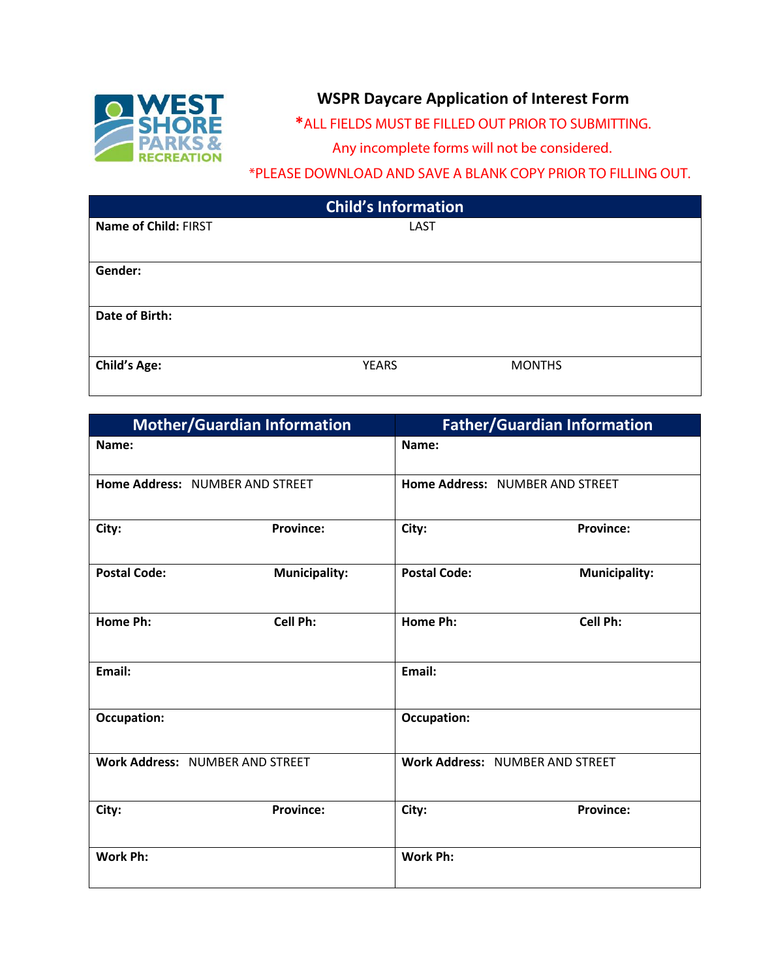

## **WSPR Daycare Application of Interest Form**

**\***ALL FIELDS MUST BE FILLED OUT PRIOR TO SUBMITTING.

Any incomplete forms will not be considered.

\*PLEASE DOWNLOAD AND SAVE A BLANK COPY PRIOR TO FILLING OUT.

| <b>Child's Information</b> |              |               |  |  |
|----------------------------|--------------|---------------|--|--|
| Name of Child: FIRST       | LAST         |               |  |  |
|                            |              |               |  |  |
| Gender:                    |              |               |  |  |
|                            |              |               |  |  |
| Date of Birth:             |              |               |  |  |
|                            |              |               |  |  |
| <b>Child's Age:</b>        | <b>YEARS</b> | <b>MONTHS</b> |  |  |
|                            |              |               |  |  |

|                                 | <b>Mother/Guardian Information</b> |                                 | <b>Father/Guardian Information</b> |  |
|---------------------------------|------------------------------------|---------------------------------|------------------------------------|--|
| Name:                           |                                    | Name:                           |                                    |  |
| Home Address: NUMBER AND STREET |                                    | Home Address: NUMBER AND STREET |                                    |  |
| City:                           | <b>Province:</b>                   | City:                           | <b>Province:</b>                   |  |
| <b>Postal Code:</b>             | <b>Municipality:</b>               | <b>Postal Code:</b>             | <b>Municipality:</b>               |  |
| Home Ph:                        | Cell Ph:                           | Home Ph:                        | Cell Ph:                           |  |
| Email:                          |                                    | Email:                          |                                    |  |
| <b>Occupation:</b>              |                                    | <b>Occupation:</b>              |                                    |  |
| Work Address: NUMBER AND STREET |                                    | Work Address: NUMBER AND STREET |                                    |  |
| City:                           | <b>Province:</b>                   | City:                           | <b>Province:</b>                   |  |
| Work Ph:                        |                                    | Work Ph:                        |                                    |  |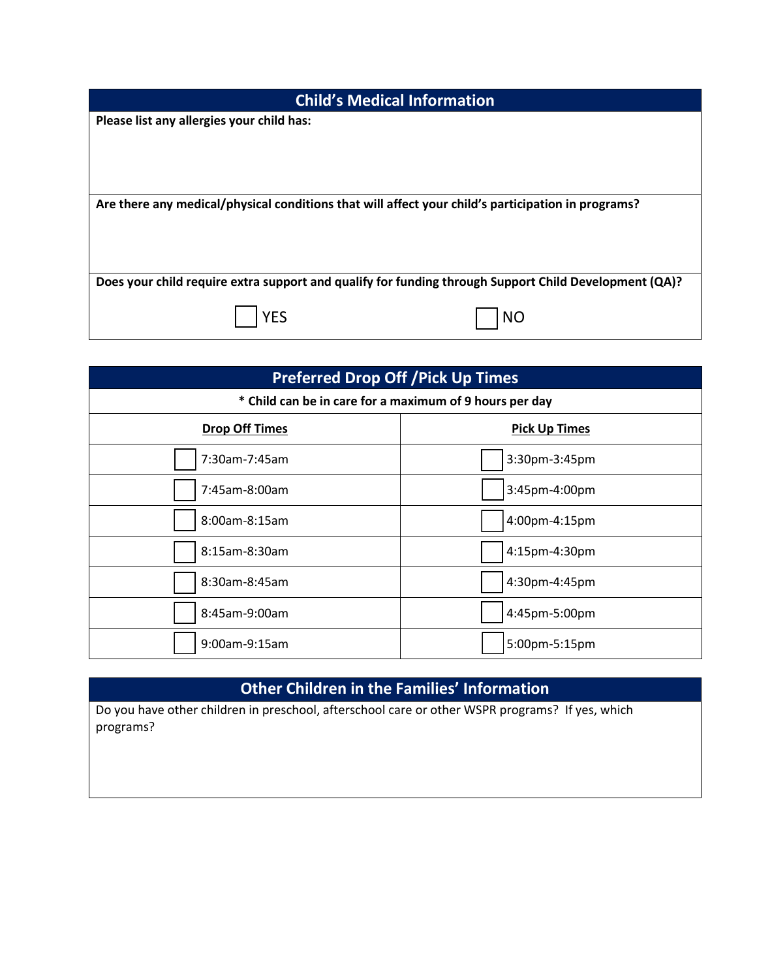| <b>Child's Medical Information</b>                                                                    |  |  |  |  |
|-------------------------------------------------------------------------------------------------------|--|--|--|--|
| Please list any allergies your child has:                                                             |  |  |  |  |
|                                                                                                       |  |  |  |  |
|                                                                                                       |  |  |  |  |
|                                                                                                       |  |  |  |  |
| Are there any medical/physical conditions that will affect your child's participation in programs?    |  |  |  |  |
|                                                                                                       |  |  |  |  |
|                                                                                                       |  |  |  |  |
| Does your child require extra support and qualify for funding through Support Child Development (QA)? |  |  |  |  |
| YES<br>NO                                                                                             |  |  |  |  |

| <b>Preferred Drop Off / Pick Up Times</b>               |                      |  |  |  |
|---------------------------------------------------------|----------------------|--|--|--|
| * Child can be in care for a maximum of 9 hours per day |                      |  |  |  |
| <b>Drop Off Times</b>                                   | <b>Pick Up Times</b> |  |  |  |
| 7:30am-7:45am                                           | 3:30pm-3:45pm        |  |  |  |
| 7:45am-8:00am                                           | 3:45pm-4:00pm        |  |  |  |
| 8:00am-8:15am                                           | 4:00pm-4:15pm        |  |  |  |
| 8:15am-8:30am                                           | 4:15pm-4:30pm        |  |  |  |
| 8:30am-8:45am                                           | 4:30pm-4:45pm        |  |  |  |
| 8:45am-9:00am                                           | 4:45pm-5:00pm        |  |  |  |
| 9:00am-9:15am                                           | 5:00pm-5:15pm        |  |  |  |

## **Other Children in the Families' Information**

Do you have other children in preschool, afterschool care or other WSPR programs? If yes, which programs?